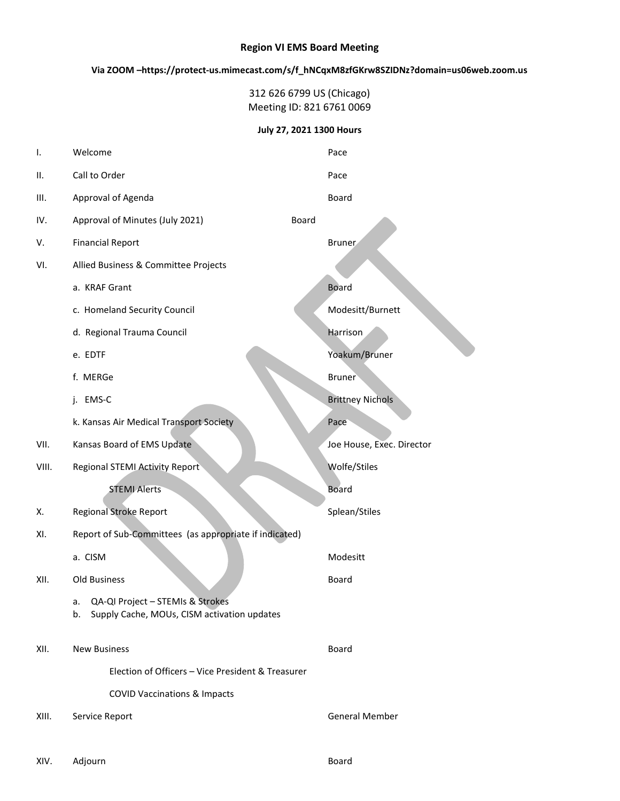#### Region VI EMS Board Meeting

Via ZOOM –https://protect-us.mimecast.com/s/f\_hNCqxM8zfGKrw8SZIDNz?domain=us06web.zoom.us

312 626 6799 US (Chicago) Meeting ID: 821 6761 0069

July 27, 2021 1300 Hours

| ı.    | Welcome                                                                                     |       | Pace                      |
|-------|---------------------------------------------------------------------------------------------|-------|---------------------------|
| П.    | Call to Order                                                                               |       | Pace                      |
| III.  | Approval of Agenda                                                                          |       | Board                     |
| IV.   | Approval of Minutes (July 2021)                                                             | Board |                           |
| V.    | <b>Financial Report</b>                                                                     |       | <b>Bruner</b>             |
| VI.   | Allied Business & Committee Projects                                                        |       |                           |
|       | a. KRAF Grant                                                                               |       | <b>Board</b>              |
|       | c. Homeland Security Council                                                                |       | Modesitt/Burnett          |
|       | d. Regional Trauma Council                                                                  |       | Harrison                  |
|       | e. EDTF                                                                                     |       | Yoakum/Bruner             |
|       | f. MERGe                                                                                    |       | <b>Bruner</b>             |
|       | j. EMS-C                                                                                    |       | <b>Brittney Nichols</b>   |
|       | k. Kansas Air Medical Transport Society                                                     |       | Pace                      |
| VII.  | Kansas Board of EMS Update                                                                  |       | Joe House, Exec. Director |
| VIII. | Regional STEMI Activity Report                                                              |       | Wolfe/Stiles              |
|       | <b>STEMI Alerts</b>                                                                         |       | <b>Board</b>              |
| Χ.    | <b>Regional Stroke Report</b>                                                               |       | Splean/Stiles             |
| XI.   | Report of Sub-Committees (as appropriate if indicated)                                      |       |                           |
|       | a. CISM                                                                                     |       | Modesitt                  |
| XII.  | Old Business                                                                                |       | Board                     |
|       | QA-QI Project - STEMIs & Strokes<br>а.<br>Supply Cache, MOUs, CISM activation updates<br>b. |       |                           |
| XII.  | <b>New Business</b>                                                                         |       | Board                     |
|       | Election of Officers - Vice President & Treasurer                                           |       |                           |
|       | <b>COVID Vaccinations &amp; Impacts</b>                                                     |       |                           |
| XIII. | Service Report                                                                              |       | General Member            |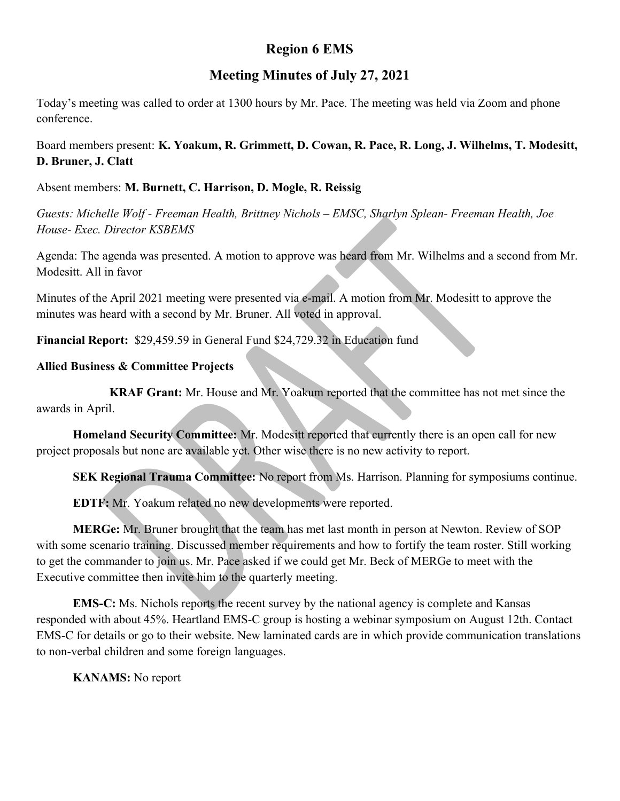# Region 6 EMS

## Meeting Minutes of July 27, 2021

Today's meeting was called to order at 1300 hours by Mr. Pace. The meeting was held via Zoom and phone conference.

Board members present: K. Yoakum, R. Grimmett, D. Cowan, R. Pace, R. Long, J. Wilhelms, T. Modesitt, D. Bruner, J. Clatt

Absent members: M. Burnett, C. Harrison, D. Mogle, R. Reissig

Guests: Michelle Wolf - Freeman Health, Brittney Nichols – EMSC, Sharlyn Splean- Freeman Health, Joe House- Exec. Director KSBEMS

Agenda: The agenda was presented. A motion to approve was heard from Mr. Wilhelms and a second from Mr. Modesitt. All in favor

Minutes of the April 2021 meeting were presented via e-mail. A motion from Mr. Modesitt to approve the minutes was heard with a second by Mr. Bruner. All voted in approval.

Financial Report: \$29,459.59 in General Fund \$24,729.32 in Education fund

## Allied Business & Committee Projects

KRAF Grant: Mr. House and Mr. Yoakum reported that the committee has not met since the awards in April.

Homeland Security Committee: Mr. Modesitt reported that currently there is an open call for new project proposals but none are available yet. Other wise there is no new activity to report.

SEK Regional Trauma Committee: No report from Ms. Harrison. Planning for symposiums continue.

EDTF: Mr. Yoakum related no new developments were reported.

MERGe: Mr. Bruner brought that the team has met last month in person at Newton. Review of SOP with some scenario training. Discussed member requirements and how to fortify the team roster. Still working to get the commander to join us. Mr. Pace asked if we could get Mr. Beck of MERGe to meet with the Executive committee then invite him to the quarterly meeting.

EMS-C: Ms. Nichols reports the recent survey by the national agency is complete and Kansas responded with about 45%. Heartland EMS-C group is hosting a webinar symposium on August 12th. Contact EMS-C for details or go to their website. New laminated cards are in which provide communication translations to non-verbal children and some foreign languages.

KANAMS: No report